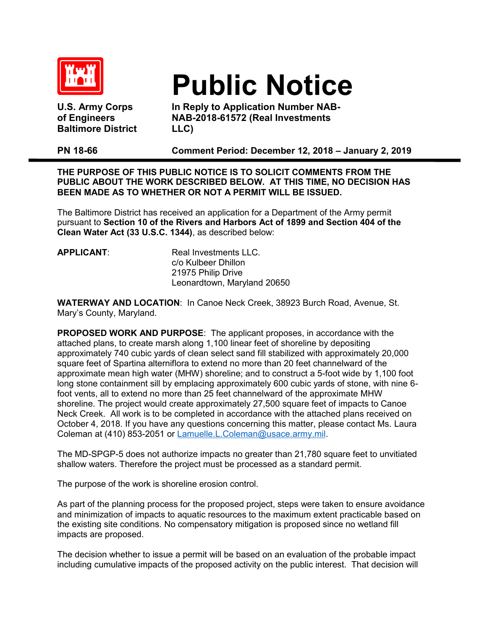

**U.S. Army Corps of Engineers Baltimore District** 

## **Public Notice**

**In Reply to Application Number NAB-NAB-2018-61572 (Real Investments LLC)** 

**PN 18-66 Comment Period: December 12, 2018 – January 2, 2019**

**THE PURPOSE OF THIS PUBLIC NOTICE IS TO SOLICIT COMMENTS FROM THE PUBLIC ABOUT THE WORK DESCRIBED BELOW. AT THIS TIME, NO DECISION HAS BEEN MADE AS TO WHETHER OR NOT A PERMIT WILL BE ISSUED.** 

The Baltimore District has received an application for a Department of the Army permit pursuant to **Section 10 of the Rivers and Harbors Act of 1899 and Section 404 of the Clean Water Act (33 U.S.C. 1344)**, as described below:

**APPLICANT:** Real Investments LLC. c/o Kulbeer Dhillon 21975 Philip Drive Leonardtown, Maryland 20650

**WATERWAY AND LOCATION**: In Canoe Neck Creek, 38923 Burch Road, Avenue, St. Mary's County, Maryland.

**PROPOSED WORK AND PURPOSE**: The applicant proposes, in accordance with the attached plans, to create marsh along 1,100 linear feet of shoreline by depositing approximately 740 cubic yards of clean select sand fill stabilized with approximately 20,000 square feet of Spartina alterniflora to extend no more than 20 feet channelward of the approximate mean high water (MHW) shoreline; and to construct a 5-foot wide by 1,100 foot long stone containment sill by emplacing approximately 600 cubic yards of stone, with nine 6 foot vents, all to extend no more than 25 feet channelward of the approximate MHW shoreline. The project would create approximately 27,500 square feet of impacts to Canoe Neck Creek. All work is to be completed in accordance with the attached plans received on October 4, 2018. If you have any questions concerning this matter, please contact Ms. Laura Coleman at (410) 853-2051 or [Lamuelle.L.Coleman](mailto:Lamuelle.L.Coleman@usace.army.mil)@usace.army.mil.

The MD-SPGP-5 does not authorize impacts no greater than 21,780 square feet to unvitiated shallow waters. Therefore the project must be processed as a standard permit.

The purpose of the work is shoreline erosion control.

As part of the planning process for the proposed project, steps were taken to ensure avoidance and minimization of impacts to aquatic resources to the maximum extent practicable based on the existing site conditions. No compensatory mitigation is proposed since no wetland fill impacts are proposed.

The decision whether to issue a permit will be based on an evaluation of the probable impact including cumulative impacts of the proposed activity on the public interest. That decision will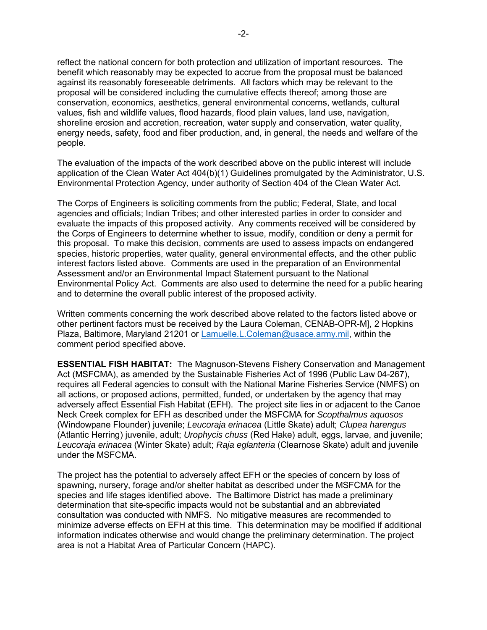reflect the national concern for both protection and utilization of important resources. The benefit which reasonably may be expected to accrue from the proposal must be balanced against its reasonably foreseeable detriments. All factors which may be relevant to the proposal will be considered including the cumulative effects thereof; among those are conservation, economics, aesthetics, general environmental concerns, wetlands, cultural values, fish and wildlife values, flood hazards, flood plain values, land use, navigation, shoreline erosion and accretion, recreation, water supply and conservation, water quality, energy needs, safety, food and fiber production, and, in general, the needs and welfare of the people.

The evaluation of the impacts of the work described above on the public interest will include application of the Clean Water Act 404(b)(1) Guidelines promulgated by the Administrator, U.S. Environmental Protection Agency, under authority of Section 404 of the Clean Water Act.

The Corps of Engineers is soliciting comments from the public; Federal, State, and local agencies and officials; Indian Tribes; and other interested parties in order to consider and evaluate the impacts of this proposed activity. Any comments received will be considered by the Corps of Engineers to determine whether to issue, modify, condition or deny a permit for this proposal. To make this decision, comments are used to assess impacts on endangered species, historic properties, water quality, general environmental effects, and the other public interest factors listed above. Comments are used in the preparation of an Environmental Assessment and/or an Environmental Impact Statement pursuant to the National Environmental Policy Act. Comments are also used to determine the need for a public hearing and to determine the overall public interest of the proposed activity.

Written comments concerning the work described above related to the factors listed above or other pertinent factors must be received by the Laura Coleman, CENAB-OPR-M], 2 Hopkins Plaza, Baltimore, Maryland 21201 or [Lamuelle.L.Coleman@usace.army.mil,](mailto:Lamuelle.L.Coleman@usace.army.mil) within the comment period specified above.

**ESSENTIAL FISH HABITAT:** The Magnuson-Stevens Fishery Conservation and Management Act (MSFCMA), as amended by the Sustainable Fisheries Act of 1996 (Public Law 04-267), requires all Federal agencies to consult with the National Marine Fisheries Service (NMFS) on all actions, or proposed actions, permitted, funded, or undertaken by the agency that may adversely affect Essential Fish Habitat (EFH). The project site lies in or adjacent to the Canoe Neck Creek complex for EFH as described under the MSFCMA for *Scopthalmus aquosos*  (Windowpane Flounder) juvenile; *Leucoraja erinacea* (Little Skate) adult; *Clupea harengus* (Atlantic Herring) juvenile, adult; *Urophycis chuss* (Red Hake) adult, eggs, larvae, and juvenile; *Leucoraja erinacea* (Winter Skate) adult; *Raja eglanteria* (Clearnose Skate) adult and juvenile under the MSFCMA.

The project has the potential to adversely affect EFH or the species of concern by loss of spawning, nursery, forage and/or shelter habitat as described under the MSFCMA for the species and life stages identified above. The Baltimore District has made a preliminary determination that site-specific impacts would not be substantial and an abbreviated consultation was conducted with NMFS. No mitigative measures are recommended to minimize adverse effects on EFH at this time. This determination may be modified if additional information indicates otherwise and would change the preliminary determination. The project area is not a Habitat Area of Particular Concern (HAPC).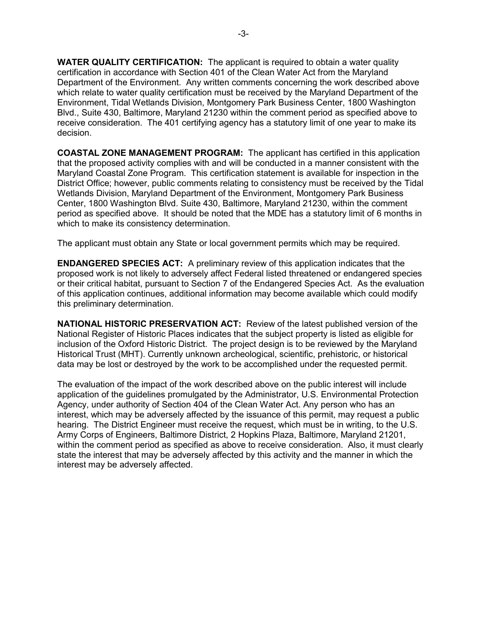**WATER QUALITY CERTIFICATION:** The applicant is required to obtain a water quality certification in accordance with Section 401 of the Clean Water Act from the Maryland Department of the Environment. Any written comments concerning the work described above which relate to water quality certification must be received by the Maryland Department of the Environment, Tidal Wetlands Division, Montgomery Park Business Center, 1800 Washington Blvd., Suite 430, Baltimore, Maryland 21230 within the comment period as specified above to receive consideration. The 401 certifying agency has a statutory limit of one year to make its decision.

**COASTAL ZONE MANAGEMENT PROGRAM:** The applicant has certified in this application that the proposed activity complies with and will be conducted in a manner consistent with the Maryland Coastal Zone Program. This certification statement is available for inspection in the District Office; however, public comments relating to consistency must be received by the Tidal Wetlands Division, Maryland Department of the Environment, Montgomery Park Business Center, 1800 Washington Blvd. Suite 430, Baltimore, Maryland 21230, within the comment period as specified above. It should be noted that the MDE has a statutory limit of 6 months in which to make its consistency determination.

The applicant must obtain any State or local government permits which may be required.

**ENDANGERED SPECIES ACT:** A preliminary review of this application indicates that the proposed work is not likely to adversely affect Federal listed threatened or endangered species or their critical habitat, pursuant to Section 7 of the Endangered Species Act. As the evaluation of this application continues, additional information may become available which could modify this preliminary determination.

**NATIONAL HISTORIC PRESERVATION ACT:** Review of the latest published version of the National Register of Historic Places indicates that the subject property is listed as eligible for inclusion of the Oxford Historic District. The project design is to be reviewed by the Maryland Historical Trust (MHT). Currently unknown archeological, scientific, prehistoric, or historical data may be lost or destroyed by the work to be accomplished under the requested permit.

The evaluation of the impact of the work described above on the public interest will include application of the guidelines promulgated by the Administrator, U.S. Environmental Protection Agency, under authority of Section 404 of the Clean Water Act. Any person who has an interest, which may be adversely affected by the issuance of this permit, may request a public hearing. The District Engineer must receive the request, which must be in writing, to the U.S. Army Corps of Engineers, Baltimore District, 2 Hopkins Plaza, Baltimore, Maryland 21201, within the comment period as specified as above to receive consideration. Also, it must clearly state the interest that may be adversely affected by this activity and the manner in which the interest may be adversely affected.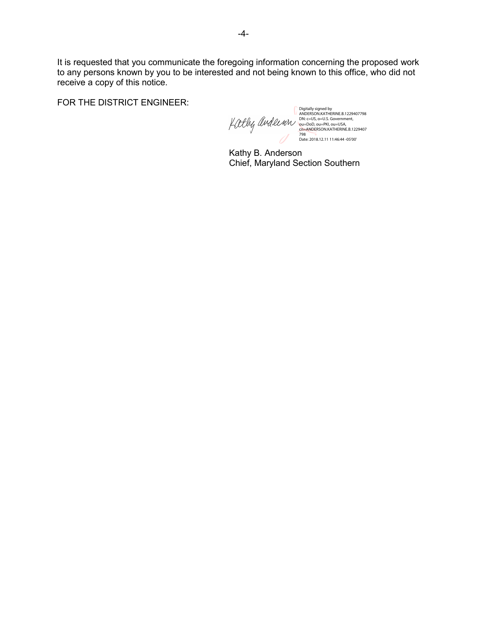It is requested that you communicate the foregoing information concerning the proposed work to any persons known by you to be interested and not being known to this office, who did not receive a copy of this notice.

FOR THE DISTRICT ENGINEER:

Digitally signed by<br>ANDERSON.KATHERINE.B.1229407798<br>DN: c=US, o=U.S. Government,<br>ou=DoD, ou=PKI, ou=USA,<br>cn=ANDERSON.KATHERINE.B.1229407<br>Date: 2018.12.11 11:46:44 -05'00'<br>Date: 2018.12.11 11:46:44 -05'00' Kittly andeinn

Kathy B. Anderson Chief, Maryland Section Southern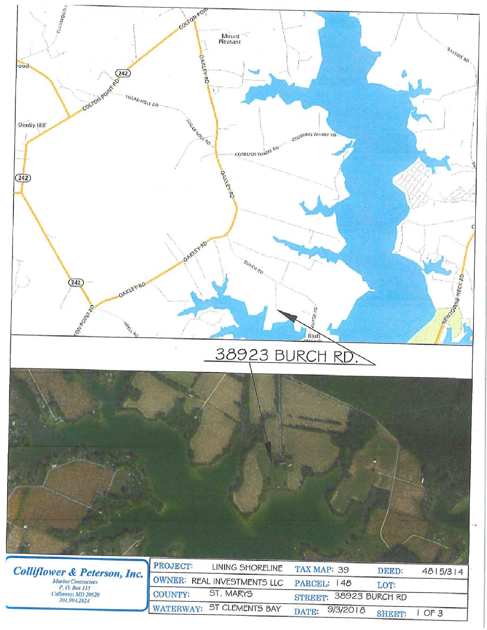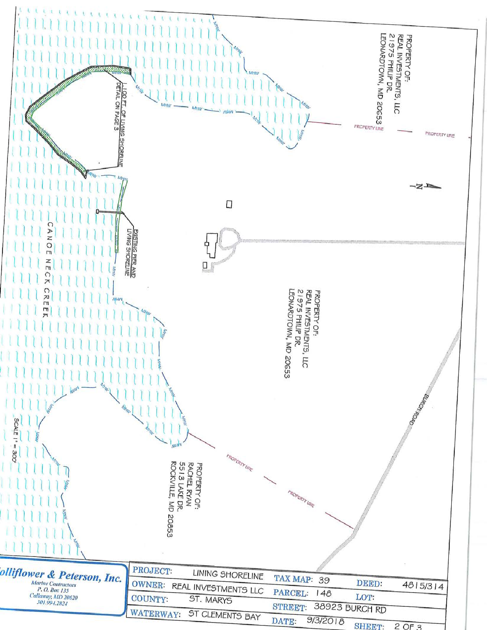